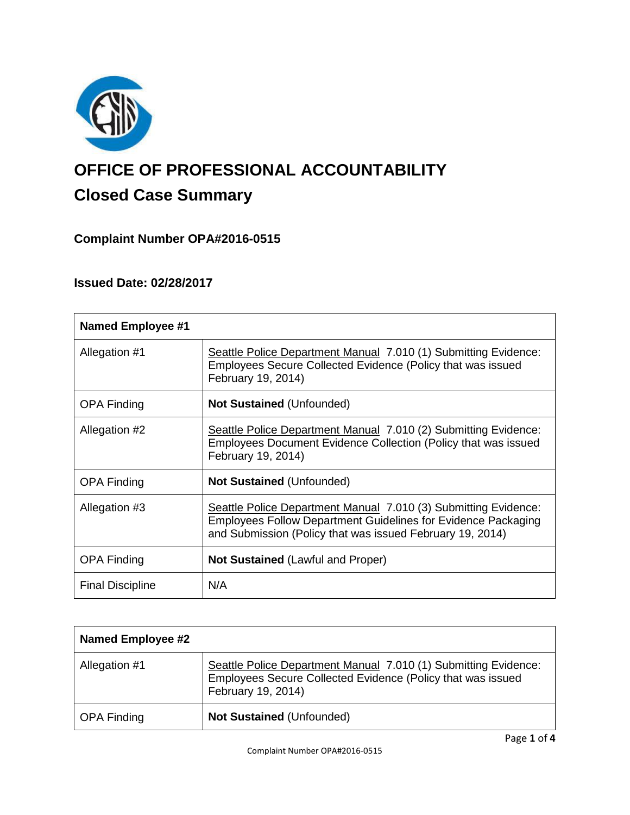

# **OFFICE OF PROFESSIONAL ACCOUNTABILITY Closed Case Summary**

# **Complaint Number OPA#2016-0515**

# **Issued Date: 02/28/2017**

| <b>Named Employee #1</b> |                                                                                                                                                                                                      |
|--------------------------|------------------------------------------------------------------------------------------------------------------------------------------------------------------------------------------------------|
| Allegation #1            | Seattle Police Department Manual 7.010 (1) Submitting Evidence:<br>Employees Secure Collected Evidence (Policy that was issued<br>February 19, 2014)                                                 |
| <b>OPA Finding</b>       | <b>Not Sustained (Unfounded)</b>                                                                                                                                                                     |
| Allegation #2            | Seattle Police Department Manual 7.010 (2) Submitting Evidence:<br>Employees Document Evidence Collection (Policy that was issued<br>February 19, 2014)                                              |
| <b>OPA Finding</b>       | <b>Not Sustained (Unfounded)</b>                                                                                                                                                                     |
| Allegation #3            | Seattle Police Department Manual 7.010 (3) Submitting Evidence:<br><b>Employees Follow Department Guidelines for Evidence Packaging</b><br>and Submission (Policy that was issued February 19, 2014) |
| <b>OPA Finding</b>       | <b>Not Sustained (Lawful and Proper)</b>                                                                                                                                                             |
| <b>Final Discipline</b>  | N/A                                                                                                                                                                                                  |

| <b>Named Employee #2</b> |                                                                                                                                                      |
|--------------------------|------------------------------------------------------------------------------------------------------------------------------------------------------|
| Allegation #1            | Seattle Police Department Manual 7.010 (1) Submitting Evidence:<br>Employees Secure Collected Evidence (Policy that was issued<br>February 19, 2014) |
| <b>OPA Finding</b>       | <b>Not Sustained (Unfounded)</b>                                                                                                                     |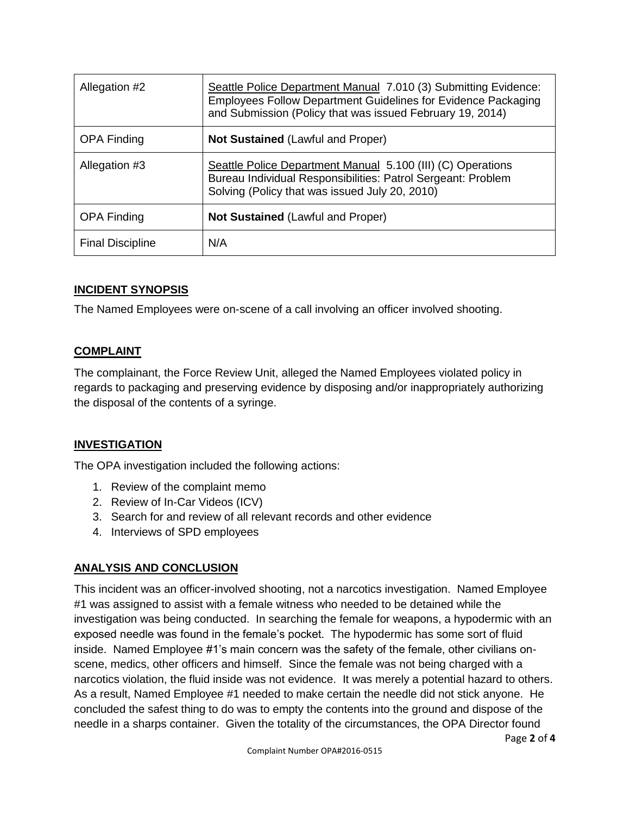| Allegation #2           | Seattle Police Department Manual 7.010 (3) Submitting Evidence:<br><b>Employees Follow Department Guidelines for Evidence Packaging</b><br>and Submission (Policy that was issued February 19, 2014) |
|-------------------------|------------------------------------------------------------------------------------------------------------------------------------------------------------------------------------------------------|
| <b>OPA Finding</b>      | <b>Not Sustained (Lawful and Proper)</b>                                                                                                                                                             |
| Allegation #3           | Seattle Police Department Manual 5.100 (III) (C) Operations<br>Bureau Individual Responsibilities: Patrol Sergeant: Problem<br>Solving (Policy that was issued July 20, 2010)                        |
| <b>OPA Finding</b>      | <b>Not Sustained (Lawful and Proper)</b>                                                                                                                                                             |
| <b>Final Discipline</b> | N/A                                                                                                                                                                                                  |

## **INCIDENT SYNOPSIS**

The Named Employees were on-scene of a call involving an officer involved shooting.

## **COMPLAINT**

The complainant, the Force Review Unit, alleged the Named Employees violated policy in regards to packaging and preserving evidence by disposing and/or inappropriately authorizing the disposal of the contents of a syringe.

# **INVESTIGATION**

The OPA investigation included the following actions:

- 1. Review of the complaint memo
- 2. Review of In-Car Videos (ICV)
- 3. Search for and review of all relevant records and other evidence
- 4. Interviews of SPD employees

#### **ANALYSIS AND CONCLUSION**

This incident was an officer-involved shooting, not a narcotics investigation. Named Employee #1 was assigned to assist with a female witness who needed to be detained while the investigation was being conducted. In searching the female for weapons, a hypodermic with an exposed needle was found in the female's pocket. The hypodermic has some sort of fluid inside. Named Employee #1's main concern was the safety of the female, other civilians onscene, medics, other officers and himself. Since the female was not being charged with a narcotics violation, the fluid inside was not evidence. It was merely a potential hazard to others. As a result, Named Employee #1 needed to make certain the needle did not stick anyone. He concluded the safest thing to do was to empty the contents into the ground and dispose of the needle in a sharps container. Given the totality of the circumstances, the OPA Director found

Complaint Number OPA#2016-0515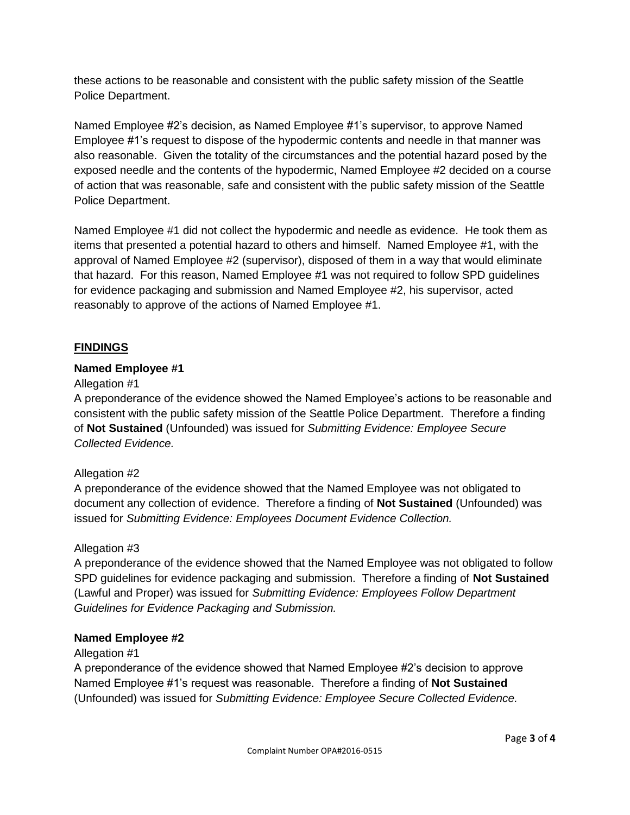these actions to be reasonable and consistent with the public safety mission of the Seattle Police Department.

Named Employee #2's decision, as Named Employee #1's supervisor, to approve Named Employee #1's request to dispose of the hypodermic contents and needle in that manner was also reasonable. Given the totality of the circumstances and the potential hazard posed by the exposed needle and the contents of the hypodermic, Named Employee #2 decided on a course of action that was reasonable, safe and consistent with the public safety mission of the Seattle Police Department.

Named Employee #1 did not collect the hypodermic and needle as evidence. He took them as items that presented a potential hazard to others and himself. Named Employee #1, with the approval of Named Employee #2 (supervisor), disposed of them in a way that would eliminate that hazard. For this reason, Named Employee #1 was not required to follow SPD guidelines for evidence packaging and submission and Named Employee #2, his supervisor, acted reasonably to approve of the actions of Named Employee #1.

# **FINDINGS**

#### **Named Employee #1**

Allegation #1

A preponderance of the evidence showed the Named Employee's actions to be reasonable and consistent with the public safety mission of the Seattle Police Department. Therefore a finding of **Not Sustained** (Unfounded) was issued for *Submitting Evidence: Employee Secure Collected Evidence.*

#### Allegation #2

A preponderance of the evidence showed that the Named Employee was not obligated to document any collection of evidence. Therefore a finding of **Not Sustained** (Unfounded) was issued for *Submitting Evidence: Employees Document Evidence Collection.*

#### Allegation #3

A preponderance of the evidence showed that the Named Employee was not obligated to follow SPD guidelines for evidence packaging and submission. Therefore a finding of **Not Sustained** (Lawful and Proper) was issued for *Submitting Evidence: Employees Follow Department Guidelines for Evidence Packaging and Submission.*

#### **Named Employee #2**

#### Allegation #1

A preponderance of the evidence showed that Named Employee #2's decision to approve Named Employee #1's request was reasonable. Therefore a finding of **Not Sustained** (Unfounded) was issued for *Submitting Evidence: Employee Secure Collected Evidence.*